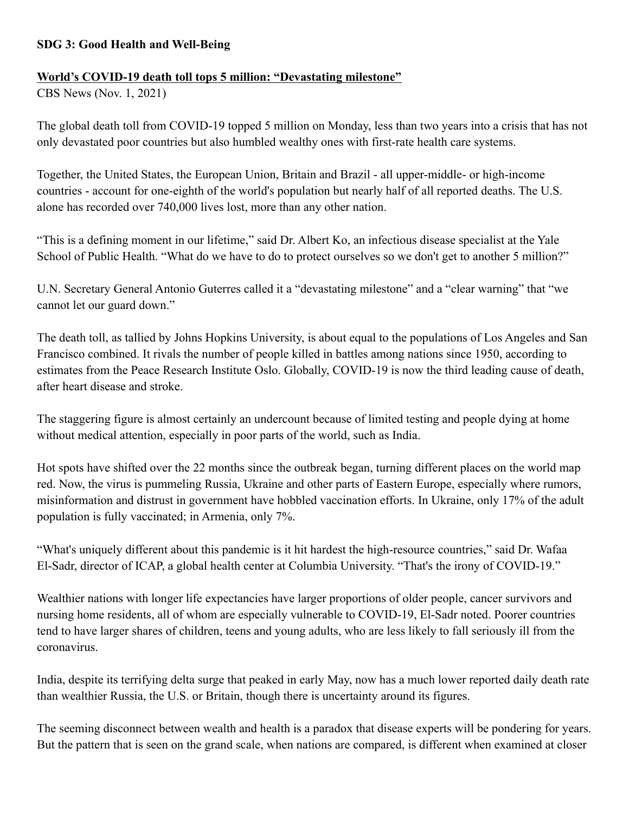## **SDG 3: Good Health and Well-Being**

## **World's COVID-19 death toll tops 5 million: "Devastating milestone"**

CBS News (Nov. 1, 2021)

The global death toll from COVID-19 topped 5 million on Monday, less than two years into a crisis that has not only devastated poor countries but also humbled wealthy ones with first-rate health care systems.

Together, the United States, the European Union, Britain and Brazil - all upper-middle- or high-income countries - account for one-eighth of the world's population but nearly half of all reported deaths. The U.S. alone has recorded over 740,000 lives lost, more than any other nation.

"This is a defining moment in our lifetime," said Dr. Albert Ko, an infectious disease specialist at the Yale School of Public Health. "What do we have to do to protect ourselves so we don't get to another 5 million?"

U.N. Secretary General Antonio Guterres called it a "devastating milestone" and a "clear warning" that "we cannot let our guard down."

The death toll, as tallied by Johns Hopkins University, is about equal to the populations of Los Angeles and San Francisco combined. It rivals the number of people killed in battles among nations since 1950, according to estimates from the Peace Research Institute Oslo. Globally, COVID-19 is now the third leading cause of death, after heart disease and stroke.

The staggering figure is almost certainly an undercount because of limited testing and people dying at home without medical attention, especially in poor parts of the world, such as India.

Hot spots have shifted over the 22 months since the outbreak began, turning different places on the world map red. Now, the virus is pummeling Russia, Ukraine and other parts of Eastern Europe, especially where rumors, misinformation and distrust in government have hobbled vaccination efforts. In Ukraine, only 17% of the adult population is fully vaccinated; in Armenia, only 7%.

"What's uniquely different about this pandemic is it hit hardest the high-resource countries," said Dr. Wafaa El-Sadr, director of ICAP, a global health center at Columbia University. "That's the irony of COVID-19."

Wealthier nations with longer life expectancies have larger proportions of older people, cancer survivors and nursing home residents, all of whom are especially vulnerable to COVID-19, El-Sadr noted. Poorer countries tend to have larger shares of children, teens and young adults, who are less likely to fall seriously ill from the coronavirus.

India, despite its terrifying delta surge that peaked in early May, now has a much lower reported daily death rate than wealthier Russia, the U.S. or Britain, though there is uncertainty around its figures.

The seeming disconnect between wealth and health is a paradox that disease experts will be pondering for years. But the pattern that is seen on the grand scale, when nations are compared, is different when examined at closer